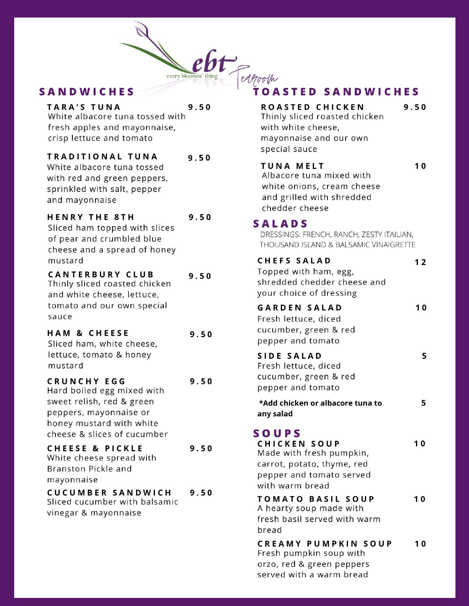

#### **SANDWICHES**

| <b>TARA'S TUNA</b><br>White albacore tuna tossed with<br>fresh apples and mayonnaise,<br>crisp lettuce and tomato                                                  | 9.50 |
|--------------------------------------------------------------------------------------------------------------------------------------------------------------------|------|
| TRADITIONAL TUNA<br>White albacore tuna tossed<br>with red and green peppers,<br>sprinkled with salt, pepper<br>and mayonnaise                                     | 9.50 |
| <b>HENRY THE 8TH</b><br>Sliced ham topped with slices<br>of pear and crumbled blue<br>cheese and a spread of honey<br>mustard                                      | 9.50 |
| <b>CANTERBURY CLUB</b><br>Thinly sliced roasted chicken<br>and white cheese, lettuce,<br>tomato and our own special<br>sauce                                       | 9.50 |
| <b>HAM &amp; CHEESE</b><br>Sliced ham, white cheese,<br>lettuce, tomato & honey<br>mustard                                                                         | 9.50 |
| <b>CRUNCHY EGG</b><br>Hard boiled egg mixed with<br>sweet relish, red & green<br>peppers, mayonnaise or<br>honey mustard with white<br>cheese & slices of cucumber | 9.50 |
| <b>CHEESE &amp; PICKLE</b><br>White cheese spread with<br>Branston Pickle and<br>mayonnaise                                                                        | 9.50 |
| <b>CUCUMBER SANDWICH</b><br>Sliced cucumber with balsamic<br>vinegar & mayonnaise                                                                                  | 9.50 |

# **TOASTED SANDWICHES**

| ROASTED CHICKEN<br>Thinly sliced roasted chicken<br>with white cheese,<br>mayonnaise and our own<br>special sauce                            | 9.50 |
|----------------------------------------------------------------------------------------------------------------------------------------------|------|
| <b>TUNA MELT</b><br>Albacore tuna mixed with<br>white onions, cream cheese<br>and grilled with shredded<br>chedder cheese                    | 10   |
| <b>SALADS</b><br>DRESSINGS: FRENCH, RANCH, ZESTY ITAILIAN,<br>THOUSAND ISLAND & BALSAMIC VINAIGRETTE                                         |      |
| <b>CHEFS SALAD</b><br>Topped with ham, egg,<br>shredded chedder cheese and<br>your choice of dressing                                        | 12   |
| <b>GARDEN SALAD</b><br>Fresh lettuce, diced<br>cucumber, green & red<br>pepper and tomato                                                    | 10   |
| <b>SIDE SALAD</b><br>Fresh lettuce, diced<br>cucumber, green & red<br>pepper and tomato                                                      | 5    |
| *Add chicken or albacore tuna to<br>any salad                                                                                                | 5    |
| <b>SOUPS</b><br><b>CHICKEN SOUP</b><br>Made with fresh pumpkin,<br>carrot, potato, thyme, red<br>pepper and tomato served<br>with warm bread | 10   |
| <b>TOMATO BASIL SOUP</b><br>A hearty soup made with<br>fresh basil served with warm<br>bread                                                 | 10   |
| <b>CREAMY PUMPKIN SOUP</b><br>Fresh pumpkin soup with<br>orzo, red & green peppers                                                           | 10   |

served with a warm bread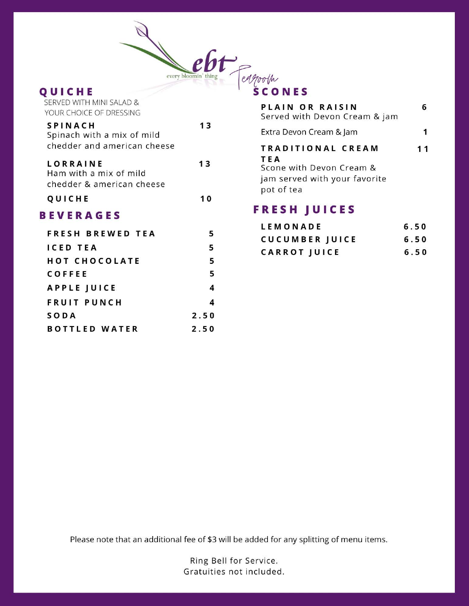

#### QUICHE

| SERVED WITH MINI SALAD &<br>YOUR CHOICE OF DRESSING                         |      |
|-----------------------------------------------------------------------------|------|
| <b>SPINACH</b><br>Spinach with a mix of mild<br>chedder and american cheese | 13   |
| <b>LORRAINE</b><br>Ham with a mix of mild<br>chedder & american cheese      | 13   |
| QUICHE                                                                      | 10   |
| <b>BEVERAGES</b>                                                            |      |
| FRESH BREWED TEA                                                            | 5    |
| <b>ICED TEA</b>                                                             | 5    |
| <b>HOT CHOCOLATE</b>                                                        | 5    |
| COFFEE                                                                      | 5    |
| <b>APPLE JUICE</b>                                                          | 4    |
| <b>FRUIT PUNCH</b>                                                          | 4    |
| SODA                                                                        | 2.50 |
| <b>BOTTLED WATER</b>                                                        | 2.50 |

| PLAIN OR RAISIN<br>Served with Devon Cream & jam                                                    |    |
|-----------------------------------------------------------------------------------------------------|----|
| Extra Devon Cream & Jam                                                                             |    |
| TRADITIONAL CREAM<br>TEA<br>Scone with Devon Cream &<br>jam served with your favorite<br>pot of tea | 11 |

# **FRESH JUICES**

| LEMONADE              | 6.50 |
|-----------------------|------|
| <b>CUCUMBER JUICE</b> | 6.50 |
| <b>CARROT JUICE</b>   | 6.50 |

Please note that an additional fee of \$3 will be added for any splitting of menu items.

Ring Bell for Service. Gratuities not included.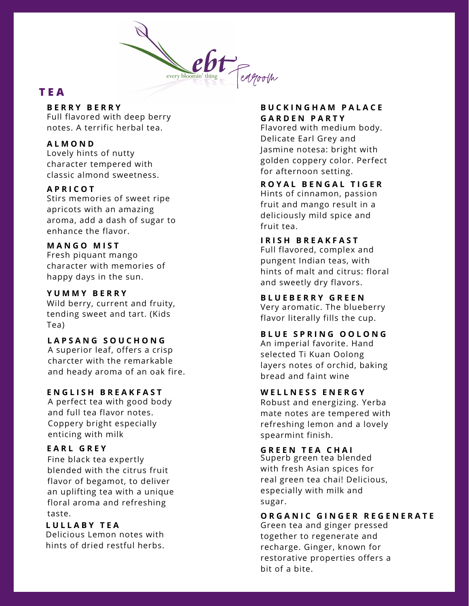

# **T E A**

#### **B E R R Y B E R R Y**

Full flavored with deep berry notes. A terrific herbal tea.

#### **A L M O N D**

Lovely hints of nutty character tempered with classic almond sweetness.

#### **A P R I C O T**

Stirs memories of sweet ripe apricots with an amazing aroma, add a dash of sugar to enhance the flavor.

#### **M A N G O M I S T**

Fresh piquant mango character with memories of happy days in the sun.

#### **Y U M M Y B E R R Y**

Wild berry, current and fruity, tending sweet and tart. (Kids Tea)

#### **L A P S A N G S O U C H O N G**

A superior leaf, offers a crisp charcter with the remarkable and heady aroma of an oak fire.

#### **E N G L I S H B R E A K F A S T**

A perfect tea with good body and full tea flavor notes. Coppery bright especially enticing with milk

#### **E A R L G R E Y**

Fine black tea expertly blended with the citrus fruit flavor of begamot, to deliver an uplifting tea with a unique floral aroma and refreshing taste.

# **L U L L A B Y T E A**

Delicious Lemon notes with hints of dried restful herbs.

#### **B U C K I N G H A M P A L A C E G A R D E N P A R T Y**

Flavored with medium body. Delicate Earl Grey and Jasmine notesa: bright with golden coppery color. Perfect for afternoon setting.

**R O Y A L B E N G A L T I G E R** Hints of cinnamon, passion fruit and mango result in a deliciously mild spice and

# **I R I S H B R E A K F A S T**

fruit tea.

Full flavored, complex and pungent Indian teas, with hints of malt and citrus: floral and sweetly dry flavors.

**B L U E B E R R Y G R E E N** Very aromatic. The blueberry flavor literally fills the cup.

#### **B L U E S P R I N G O O L O N G**

An imperial favorite. Hand selected Ti Kuan Oolong layers notes of orchid, baking bread and faint wine

#### **W E L L N E S S E N E R G Y**

Robust and energizing. Yerba mate notes are tempered with refreshing lemon and a lovely spearmint finish.

**G R E E N T E A C H A I** Superb green tea blended with fresh Asian spices for real green tea chai! Delicious, especially with milk and sugar.

#### **O R G A N I C G I N G E R R E G E N E R A T E**

Green tea and ginger pressed together to regenerate and recharge. Ginger, known for restorative properties offers a bit of a bite.